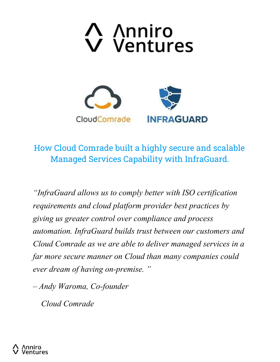





How Cloud Comrade built a highly secure and scalable Managed Services Capability with InfraGuard.

*"InfraGuard allows us to comply better with ISO certification requirements and cloud platform provider best practices by giving us greater control over compliance and process automation. InfraGuard builds trust between our customers and Cloud Comrade as we are able to deliver managed services in a far more secure manner on Cloud than many companies could ever dream of having on-premise. "* 

*– Andy Waroma, Co-founder*

*Cloud Comrade*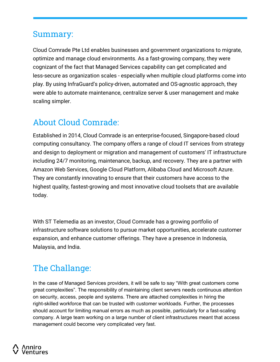#### Summary:

Cloud Comrade Pte Ltd enables businesses and government organizations to migrate, optimize and manage cloud environments. As a fast-growing company, they were cognizant of the fact that Managed Services capability can get complicated and less-secure as organization scales - especially when multiple cloud platforms come into play. By using InfraGuard's policy-driven, automated and OS-agnostic approach, they were able to automate maintenance, centralize server & user management and make scaling simpler.

## About Cloud Comrade:

Established in 2014, Cloud Comrade is an enterprise-focused, Singapore-based cloud computing consultancy. The company offers a range of cloud IT services from strategy and design to deployment or migration and management of customers' IT infrastructure including 24/7 monitoring, maintenance, backup, and recovery. They are a partner with Amazon Web Services, Google Cloud Platform, Alibaba Cloud and Microsoft Azure. They are constantly innovating to ensure that their customers have access to the highest quality, fastest-growing and most innovative cloud toolsets that are available today.

With ST Telemedia as an investor, Cloud Comrade has a growing portfolio of infrastructure software solutions to pursue market opportunities, accelerate customer expansion, and enhance customer offerings. They have a presence in Indonesia, Malaysia, and India.

## The Challange:

In the case of Managed Services providers, it will be safe to say "With great customers come great complexities". The responsibility of maintaining client servers needs continuous attention on security, access, people and systems. There are attached complexities in hiring the right-skilled workforce that can be trusted with customer workloads. Further, the processes should account for limiting manual errors as much as possible, particularly for a fast-scaling company. A large team working on a large number of client infrastructures meant that access management could become very complicated very fast.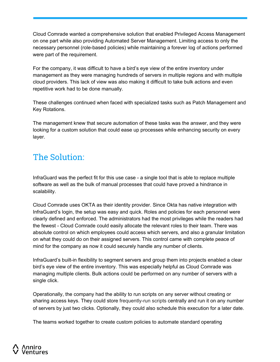Cloud Comrade wanted a comprehensive solution that enabled Privileged Access Management on one part while also providing Automated Server Management. Limiting access to only the necessary personnel (role-based policies) while maintaining a forever log of actions performed were part of the requirement.

For the company, it was difficult to have a bird's eye view of the entire inventory under management as they were managing hundreds of servers in multiple regions and with multiple cloud providers. This lack of view was also making it difficult to take bulk actions and even repetitive work had to be done manually.

These challenges continued when faced with specialized tasks such as Patch Management and Key Rotations.

The management knew that secure automation of these tasks was the answer, and they were looking for a custom solution that could ease up processes while enhancing security on every layer.

## The Solution:

InfraGuard was the perfect fit for this use case - a single tool that is able to replace multiple software as well as the bulk of manual processes that could have proved a hindrance in scalability.

Cloud Comrade uses OKTA as their identity provider. Since Okta has native integration with InfraGuard's login, the setup was easy and quick. Roles and policies for each personnel were clearly defined and enforced. The administrators had the most privileges while the readers had the fewest - Cloud Comrade could easily allocate the relevant roles to their team. There was absolute control on which employees could access which servers, and also a granular limitation on what they could do on their assigned servers. This control came with complete peace of mind for the company as now it could securely handle any number of clients.

InfraGuard's built-in flexibility to segment servers and group them into projects enabled a clear bird's eye view of the entire inventory. This was especially helpful as Cloud Comrade was managing multiple clients. Bulk actions could be performed on any number of servers with a single click.

Operationally, the company had the ability to run scripts on any server without creating or sharing access keys. They could store frequently-run scripts centrally and run it on any number of servers by just two clicks. Optionally, they could also schedule this execution for a later date.

The teams worked together to create custom policies to automate standard operating

# entures